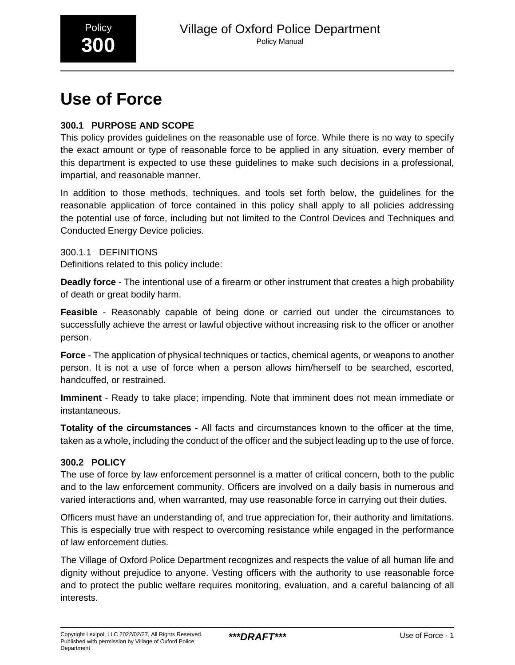

# **Use of Force**

# **300.1 PURPOSE AND SCOPE**

This policy provides guidelines on the reasonable use of force. While there is no way to specify the exact amount or type of reasonable force to be applied in any situation, every member of this department is expected to use these guidelines to make such decisions in a professional, impartial, and reasonable manner.

In addition to those methods, techniques, and tools set forth below, the guidelines for the reasonable application of force contained in this policy shall apply to all policies addressing the potential use of force, including but not limited to the Control Devices and Techniques and Conducted Energy Device policies.

300.1.1 DEFINITIONS Definitions related to this policy include:

**Deadly force** - The intentional use of a firearm or other instrument that creates a high probability of death or great bodily harm.

**Feasible** - Reasonably capable of being done or carried out under the circumstances to successfully achieve the arrest or lawful objective without increasing risk to the officer or another person.

**Force** - The application of physical techniques or tactics, chemical agents, or weapons to another person. It is not a use of force when a person allows him/herself to be searched, escorted, handcuffed, or restrained.

**Imminent** - Ready to take place; impending. Note that imminent does not mean immediate or instantaneous.

**Totality of the circumstances** - All facts and circumstances known to the officer at the time, taken as a whole, including the conduct of the officer and the subject leading up to the use of force.

# **300.2 POLICY**

The use of force by law enforcement personnel is a matter of critical concern, both to the public and to the law enforcement community. Officers are involved on a daily basis in numerous and varied interactions and, when warranted, may use reasonable force in carrying out their duties.

Officers must have an understanding of, and true appreciation for, their authority and limitations. This is especially true with respect to overcoming resistance while engaged in the performance of law enforcement duties.

The Village of Oxford Police Department recognizes and respects the value of all human life and dignity without prejudice to anyone. Vesting officers with the authority to use reasonable force and to protect the public welfare requires monitoring, evaluation, and a careful balancing of all interests.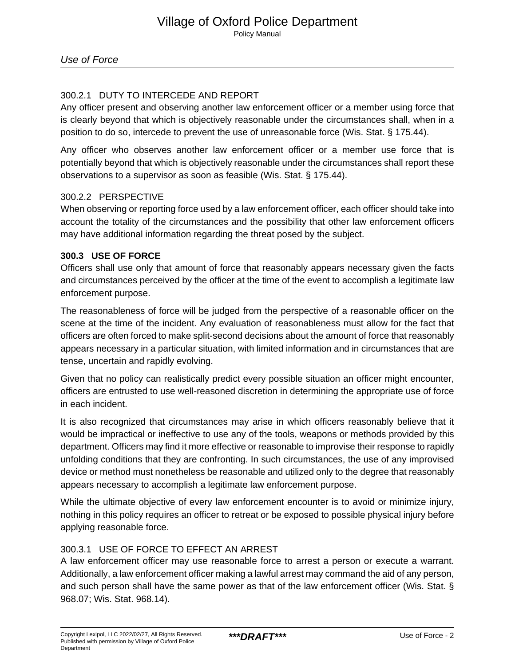# 300.2.1 DUTY TO INTERCEDE AND REPORT

Any officer present and observing another law enforcement officer or a member using force that is clearly beyond that which is objectively reasonable under the circumstances shall, when in a position to do so, intercede to prevent the use of unreasonable force (Wis. Stat. § 175.44).

Any officer who observes another law enforcement officer or a member use force that is potentially beyond that which is objectively reasonable under the circumstances shall report these observations to a supervisor as soon as feasible (Wis. Stat. § 175.44).

## 300.2.2 PERSPECTIVE

When observing or reporting force used by a law enforcement officer, each officer should take into account the totality of the circumstances and the possibility that other law enforcement officers may have additional information regarding the threat posed by the subject.

## **300.3 USE OF FORCE**

Officers shall use only that amount of force that reasonably appears necessary given the facts and circumstances perceived by the officer at the time of the event to accomplish a legitimate law enforcement purpose.

The reasonableness of force will be judged from the perspective of a reasonable officer on the scene at the time of the incident. Any evaluation of reasonableness must allow for the fact that officers are often forced to make split-second decisions about the amount of force that reasonably appears necessary in a particular situation, with limited information and in circumstances that are tense, uncertain and rapidly evolving.

Given that no policy can realistically predict every possible situation an officer might encounter, officers are entrusted to use well-reasoned discretion in determining the appropriate use of force in each incident.

It is also recognized that circumstances may arise in which officers reasonably believe that it would be impractical or ineffective to use any of the tools, weapons or methods provided by this department. Officers may find it more effective or reasonable to improvise their response to rapidly unfolding conditions that they are confronting. In such circumstances, the use of any improvised device or method must nonetheless be reasonable and utilized only to the degree that reasonably appears necessary to accomplish a legitimate law enforcement purpose.

While the ultimate objective of every law enforcement encounter is to avoid or minimize injury, nothing in this policy requires an officer to retreat or be exposed to possible physical injury before applying reasonable force.

# 300.3.1 USE OF FORCE TO EFFECT AN ARREST

A law enforcement officer may use reasonable force to arrest a person or execute a warrant. Additionally, a law enforcement officer making a lawful arrest may command the aid of any person, and such person shall have the same power as that of the law enforcement officer (Wis. Stat. § 968.07; Wis. Stat. 968.14).\_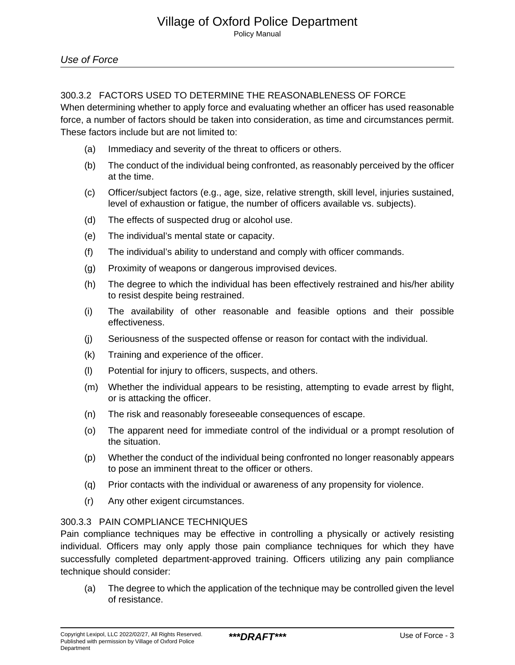# 300.3.2 FACTORS USED TO DETERMINE THE REASONABLENESS OF FORCE

When determining whether to apply force and evaluating whether an officer has used reasonable force, a number of factors should be taken into consideration, as time and circumstances permit. These factors include but are not limited to:

- (a) Immediacy and severity of the threat to officers or others.
- (b) The conduct of the individual being confronted, as reasonably perceived by the officer at the time.
- (c) Officer/subject factors (e.g., age, size, relative strength, skill level, injuries sustained, level of exhaustion or fatigue, the number of officers available vs. subjects).
- (d) The effects of suspected drug or alcohol use.
- (e) The individual's mental state or capacity.
- (f) The individual's ability to understand and comply with officer commands.
- (g) Proximity of weapons or dangerous improvised devices.
- (h) The degree to which the individual has been effectively restrained and his/her ability to resist despite being restrained.
- (i) The availability of other reasonable and feasible options and their possible effectiveness.
- (j) Seriousness of the suspected offense or reason for contact with the individual.
- (k) Training and experience of the officer.
- (l) Potential for injury to officers, suspects, and others.
- (m) Whether the individual appears to be resisting, attempting to evade arrest by flight, or is attacking the officer.
- (n) The risk and reasonably foreseeable consequences of escape.
- (o) The apparent need for immediate control of the individual or a prompt resolution of the situation.
- (p) Whether the conduct of the individual being confronted no longer reasonably appears to pose an imminent threat to the officer or others.
- (q) Prior contacts with the individual or awareness of any propensity for violence.
- (r) Any other exigent circumstances.

# 300.3.3 PAIN COMPLIANCE TECHNIQUES

Pain compliance techniques may be effective in controlling a physically or actively resisting individual. Officers may only apply those pain compliance techniques for which they have successfully completed department-approved training. Officers utilizing any pain compliance technique should consider:

(a) The degree to which the application of the technique may be controlled given the level of resistance.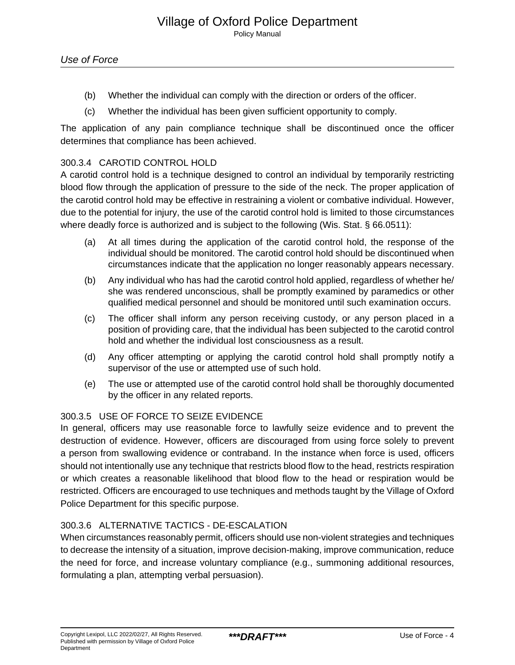- (b) Whether the individual can comply with the direction or orders of the officer.
- (c) Whether the individual has been given sufficient opportunity to comply.

The application of any pain compliance technique shall be discontinued once the officer determines that compliance has been achieved.

## 300.3.4 CAROTID CONTROL HOLD

A carotid control hold is a technique designed to control an individual by temporarily restricting blood flow through the application of pressure to the side of the neck. The proper application of the carotid control hold may be effective in restraining a violent or combative individual. However, due to the potential for injury, the use of the carotid control hold is limited to those circumstances where deadly force is authorized and is subject to the following (Wis. Stat. § 66.0511):

- (a) At all times during the application of the carotid control hold, the response of the individual should be monitored. The carotid control hold should be discontinued when circumstances indicate that the application no longer reasonably appears necessary.
- (b) Any individual who has had the carotid control hold applied, regardless of whether he/ she was rendered unconscious, shall be promptly examined by paramedics or other qualified medical personnel and should be monitored until such examination occurs.
- (c) The officer shall inform any person receiving custody, or any person placed in a position of providing care, that the individual has been subjected to the carotid control hold and whether the individual lost consciousness as a result.
- (d) Any officer attempting or applying the carotid control hold shall promptly notify a supervisor of the use or attempted use of such hold.
- (e) The use or attempted use of the carotid control hold shall be thoroughly documented by the officer in any related reports.

## 300.3.5 USE OF FORCE TO SEIZE EVIDENCE

In general, officers may use reasonable force to lawfully seize evidence and to prevent the destruction of evidence. However, officers are discouraged from using force solely to prevent a person from swallowing evidence or contraband. In the instance when force is used, officers should not intentionally use any technique that restricts blood flow to the head, restricts respiration or which creates a reasonable likelihood that blood flow to the head or respiration would be restricted. Officers are encouraged to use techniques and methods taught by the Village of Oxford Police Department for this specific purpose.

## 300.3.6 ALTERNATIVE TACTICS - DE-ESCALATION

When circumstances reasonably permit, officers should use non-violent strategies and techniques to decrease the intensity of a situation, improve decision-making, improve communication, reduce the need for force, and increase voluntary compliance (e.g., summoning additional resources, formulating a plan, attempting verbal persuasion).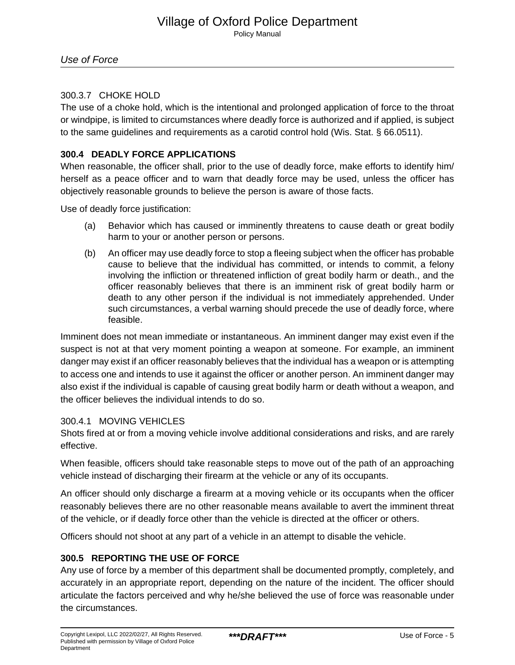# 300.3.7 CHOKE HOLD

The use of a choke hold, which is the intentional and prolonged application of force to the throat or windpipe, is limited to circumstances where deadly force is authorized and if applied, is subject to the same guidelines and requirements as a carotid control hold (Wis. Stat. § 66.0511).

# **300.4 DEADLY FORCE APPLICATIONS**

When reasonable, the officer shall, prior to the use of deadly force, make efforts to identify him/ herself as a peace officer and to warn that deadly force may be used, unless the officer has objectively reasonable grounds to believe the person is aware of those facts.

Use of deadly force justification:

- (a) Behavior which has caused or imminently threatens to cause death or great bodily harm to your or another person or persons.
- (b) An officer may use deadly force to stop a fleeing subject when the officer has probable cause to believe that the individual has committed, or intends to commit, a felony involving the infliction or threatened infliction of great bodily harm or death., and the officer reasonably believes that there is an imminent risk of great bodily harm or death to any other person if the individual is not immediately apprehended. Under such circumstances, a verbal warning should precede the use of deadly force, where feasible.

Imminent does not mean immediate or instantaneous. An imminent danger may exist even if the suspect is not at that very moment pointing a weapon at someone. For example, an imminent danger may exist if an officer reasonably believes that the individual has a weapon or is attempting to access one and intends to use it against the officer or another person. An imminent danger may also exist if the individual is capable of causing great bodily harm or death without a weapon, and the officer believes the individual intends to do so.

# 300.4.1 MOVING VEHICLES

Shots fired at or from a moving vehicle involve additional considerations and risks, and are rarely effective.

When feasible, officers should take reasonable steps to move out of the path of an approaching vehicle instead of discharging their firearm at the vehicle or any of its occupants.

An officer should only discharge a firearm at a moving vehicle or its occupants when the officer reasonably believes there are no other reasonable means available to avert the imminent threat of the vehicle, or if deadly force other than the vehicle is directed at the officer or others.

Officers should not shoot at any part of a vehicle in an attempt to disable the vehicle.

# **300.5 REPORTING THE USE OF FORCE**

Any use of force by a member of this department shall be documented promptly, completely, and accurately in an appropriate report, depending on the nature of the incident. The officer should articulate the factors perceived and why he/she believed the use of force was reasonable under the circumstances.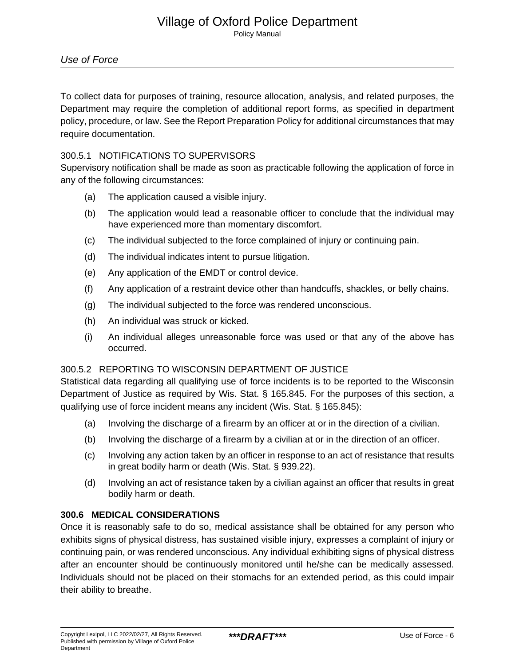To collect data for purposes of training, resource allocation, analysis, and related purposes, the Department may require the completion of additional report forms, as specified in department policy, procedure, or law. See the Report Preparation Policy for additional circumstances that may require documentation.

### 300.5.1 NOTIFICATIONS TO SUPERVISORS

Supervisory notification shall be made as soon as practicable following the application of force in any of the following circumstances:

- (a) The application caused a visible injury.
- (b) The application would lead a reasonable officer to conclude that the individual may have experienced more than momentary discomfort.
- (c) The individual subjected to the force complained of injury or continuing pain.
- (d) The individual indicates intent to pursue litigation.
- (e) Any application of the EMDT or control device.
- (f) Any application of a restraint device other than handcuffs, shackles, or belly chains.
- (g) The individual subjected to the force was rendered unconscious.
- (h) An individual was struck or kicked.
- (i) An individual alleges unreasonable force was used or that any of the above has occurred.

## 300.5.2 REPORTING TO WISCONSIN DEPARTMENT OF JUSTICE

Statistical data regarding all qualifying use of force incidents is to be reported to the Wisconsin Department of Justice as required by Wis. Stat. § 165.845. For the purposes of this section, a qualifying use of force incident means any incident (Wis. Stat. § 165.845):

- (a) Involving the discharge of a firearm by an officer at or in the direction of a civilian.
- (b) Involving the discharge of a firearm by a civilian at or in the direction of an officer.
- (c) Involving any action taken by an officer in response to an act of resistance that results in great bodily harm or death (Wis. Stat. § 939.22).
- (d) Involving an act of resistance taken by a civilian against an officer that results in great bodily harm or death.

## **300.6 MEDICAL CONSIDERATIONS**

Once it is reasonably safe to do so, medical assistance shall be obtained for any person who exhibits signs of physical distress, has sustained visible injury, expresses a complaint of injury or continuing pain, or was rendered unconscious. Any individual exhibiting signs of physical distress after an encounter should be continuously monitored until he/she can be medically assessed. Individuals should not be placed on their stomachs for an extended period, as this could impair their ability to breathe.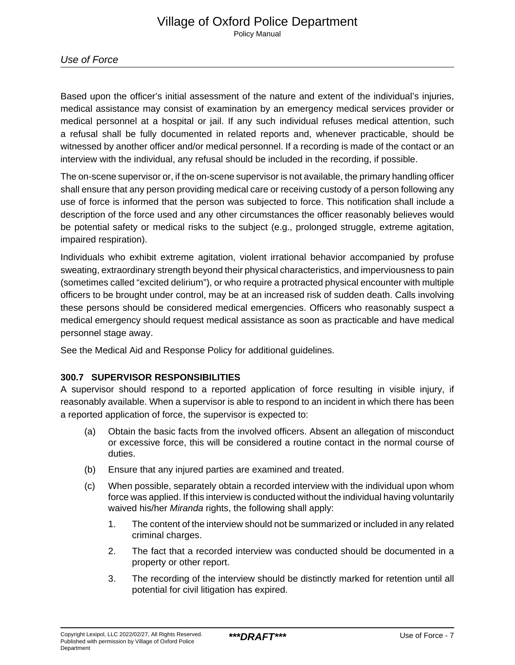Based upon the officer's initial assessment of the nature and extent of the individual's injuries, medical assistance may consist of examination by an emergency medical services provider or medical personnel at a hospital or jail. If any such individual refuses medical attention, such a refusal shall be fully documented in related reports and, whenever practicable, should be witnessed by another officer and/or medical personnel. If a recording is made of the contact or an interview with the individual, any refusal should be included in the recording, if possible.

The on-scene supervisor or, if the on-scene supervisor is not available, the primary handling officer shall ensure that any person providing medical care or receiving custody of a person following any use of force is informed that the person was subjected to force. This notification shall include a description of the force used and any other circumstances the officer reasonably believes would be potential safety or medical risks to the subject (e.g., prolonged struggle, extreme agitation, impaired respiration).

Individuals who exhibit extreme agitation, violent irrational behavior accompanied by profuse sweating, extraordinary strength beyond their physical characteristics, and imperviousness to pain (sometimes called "excited delirium"), or who require a protracted physical encounter with multiple officers to be brought under control, may be at an increased risk of sudden death. Calls involving these persons should be considered medical emergencies. Officers who reasonably suspect a medical emergency should request medical assistance as soon as practicable and have medical personnel stage away.

See the Medical Aid and Response Policy for additional guidelines.

# **300.7 SUPERVISOR RESPONSIBILITIES**

A supervisor should respond to a reported application of force resulting in visible injury, if reasonably available. When a supervisor is able to respond to an incident in which there has been a reported application of force, the supervisor is expected to:

- (a) Obtain the basic facts from the involved officers. Absent an allegation of misconduct or excessive force, this will be considered a routine contact in the normal course of duties.
- (b) Ensure that any injured parties are examined and treated.
- (c) When possible, separately obtain a recorded interview with the individual upon whom force was applied. If this interview is conducted without the individual having voluntarily waived his/her Miranda rights, the following shall apply:
	- 1. The content of the interview should not be summarized or included in any related criminal charges.
	- 2. The fact that a recorded interview was conducted should be documented in a property or other report.
	- 3. The recording of the interview should be distinctly marked for retention until all potential for civil litigation has expired.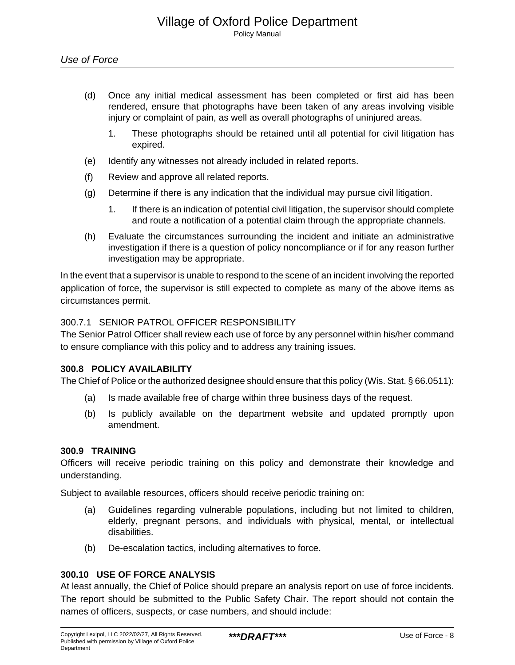- (d) Once any initial medical assessment has been completed or first aid has been rendered, ensure that photographs have been taken of any areas involving visible injury or complaint of pain, as well as overall photographs of uninjured areas.
	- 1. These photographs should be retained until all potential for civil litigation has expired.
- (e) Identify any witnesses not already included in related reports.
- (f) Review and approve all related reports.
- (g) Determine if there is any indication that the individual may pursue civil litigation.
	- 1. If there is an indication of potential civil litigation, the supervisor should complete and route a notification of a potential claim through the appropriate channels.
- (h) Evaluate the circumstances surrounding the incident and initiate an administrative investigation if there is a question of policy noncompliance or if for any reason further investigation may be appropriate.

In the event that a supervisor is unable to respond to the scene of an incident involving the reported application of force, the supervisor is still expected to complete as many of the above items as circumstances permit.

### 300.7.1 SENIOR PATROL OFFICER RESPONSIBILITY

The Senior Patrol Officer shall review each use of force by any personnel within his/her command to ensure compliance with this policy and to address any training issues.

#### **300.8 POLICY AVAILABILITY**

The Chief of Police or the authorized designee should ensure that this policy (Wis. Stat. § 66.0511):

- (a) Is made available free of charge within three business days of the request.
- (b) Is publicly available on the department website and updated promptly upon amendment.

#### **300.9 TRAINING**

Officers will receive periodic training on this policy and demonstrate their knowledge and understanding.

Subject to available resources, officers should receive periodic training on:

- (a) Guidelines regarding vulnerable populations, including but not limited to children, elderly, pregnant persons, and individuals with physical, mental, or intellectual disabilities.
- (b) De-escalation tactics, including alternatives to force.

# **300.10 USE OF FORCE ANALYSIS**

At least annually, the Chief of Police should prepare an analysis report on use of force incidents. The report should be submitted to the Public Safety Chair. The report should not contain the names of officers, suspects, or case numbers, and should include: